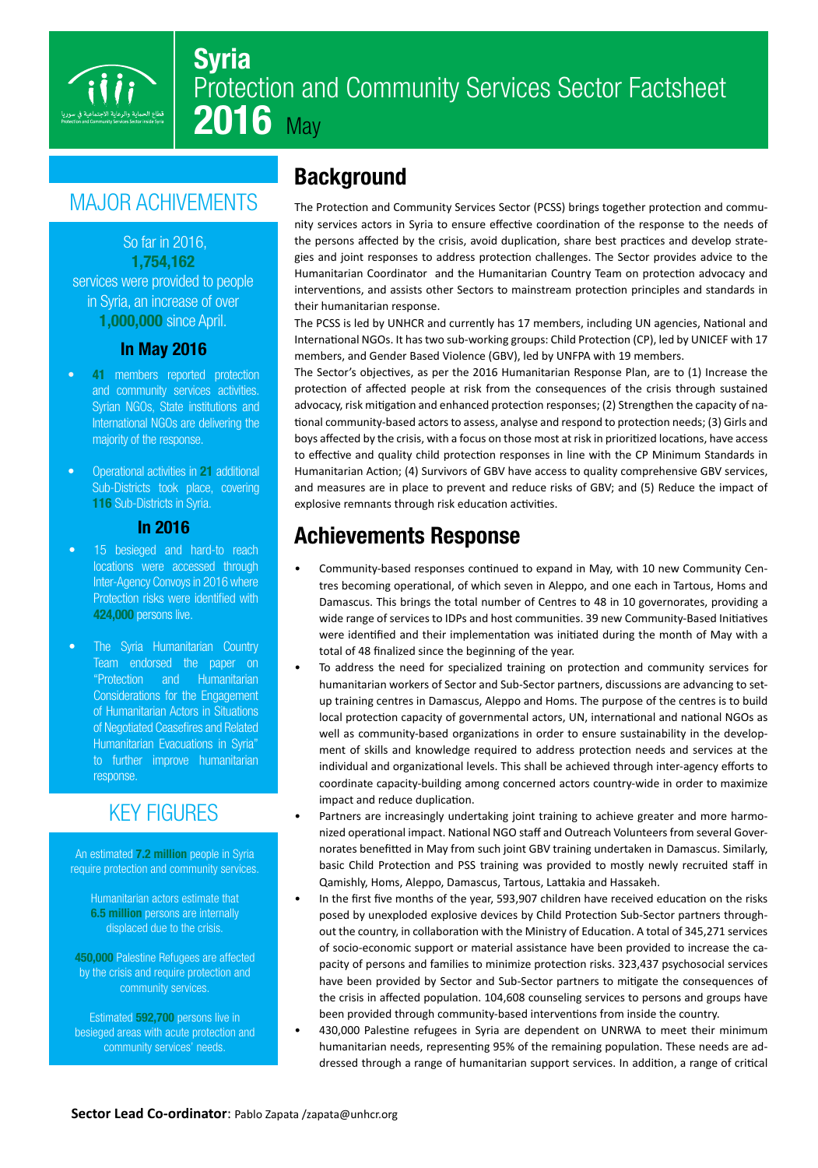

## Syria Protection and Community Services Sector Factsheet 2016 May

# **MAJOR ACHIVEMENTS**

So far in 2016. 1,754,162 services were provided to people in Syria, an increase of over **1,000,000** since April.

#### **In May 2016**

- 41 members reported protection and community services activities. Syrian NGOs, State institutions and International NGOs are delivering the majority of the response.
- Operational activities in 21 additional Sub-Districts took place, covering 116 Sub-Districts in Syria.

#### 2016 In

- 15 besieged and hard-to reach locations were accessed through Inter-Agency Convoys in 2016 where Protection risks were identified with 424,000 persons live.
- The Syria Humanitarian Country Team endorsed the paper on "Protection and Humanitarian Considerations for the Engagement of Humanitarian Actors in Situations of Negotiated Ceasefires and Related Humanitarian Evacuations in Syria" to further improve humanitarian response.

### **KEY FIGURES**

An estimated 7.2 million people in Syria require protection and community services.

Humanitarian actors estimate that 6.5 million persons are internally displaced due to the crisis.

450,000 Palestine Refugees are affected by the crisis and require protection and community services.

Estimated 592,700 persons live in besieged areas with acute protection and community services' needs.

### **Background**

nity services actors in Syria to ensure effective coordination of the response to the needs of The Protection and Community Services Sector (PCSS) brings together protection and commugies and joint responses to address protection challenges. The Sector provides advice to the the persons affected by the crisis, avoid duplication, share best practices and develop strate-Humanitarian Coordinator and the Humanitarian Country Team on protection advocacy and interventions, and assists other Sectors to mainstream protection principles and standards in their humanitarian response.

The PCSS is led by UNHCR and currently has 17 members, including UN agencies, National and International NGOs. It has two sub-working groups: Child Protection (CP), led by UNICEF with 17 members, and Gender Based Violence (GBV), led by UNFPA with 19 members.

The Sector's objectives, as per the 2016 Humanitarian Response Plan, are to (1) Increase the protection of affected people at risk from the consequences of the crisis through sustained tional community-based actors to assess, analyse and respond to protection needs; (3) Girls and advocacy, risk mitigation and enhanced protection responses; (2) Strengthen the capacity of naboys affected by the crisis, with a focus on those most at risk in prioritized locations, have access to effective and quality child protection responses in line with the CP Minimum Standards in Humanitarian Action; (4) Survivors of GBV have access to quality comprehensive GBV services, and measures are in place to prevent and reduce risks of GBV; and (5) Reduce the impact of explosive remnants through risk education activities.

### **Achievements Response**

- tres becoming operational, of which seven in Aleppo, and one each in Tartous, Homs and Community-based responses continued to expand in May, with 10 new Community Cen-Damascus. This brings the total number of Centres to 48 in 10 governorates, providing a wide range of services to IDPs and host communities. 39 new Community-Based Initiatives were identified and their implementation was initiated during the month of May with a total of 48 finalized since the beginning of the year.
- To address the need for specialized training on protection and community services for up training centres in Damascus, Aleppo and Homs. The purpose of the centres is to build humanitarian workers of Sector and Sub-Sector partners, discussions are advancing to setlocal protection capacity of governmental actors, UN, international and national NGOs as ment of skills and knowledge required to address protection needs and services at the well as community-based organizations in order to ensure sustainability in the developindividual and organizational levels. This shall be achieved through inter-agency efforts to coordinate capacity-building among concerned actors country-wide in order to maximize impact and reduce duplication.
- norates benefitted in May from such joint GBV training undertaken in Damascus. Similarly, nized operational impact. National NGO staff and Outreach Volunteers from several Gover-Partners are increasingly undertaking joint training to achieve greater and more harmobasic Child Protection and PSS training was provided to mostly newly recruited staff in Qamishly, Homs, Aleppo, Damascus, Tartous, Lattakia and Hassakeh.
- In the first five months of the year, 593,907 children have received education on the risks out the country, in collaboration with the Ministry of Education. A total of 345,271 services posed by unexploded explosive devices by Child Protection Sub-Sector partners throughpacity of persons and families to minimize protection risks. 323,437 psychosocial services of socio-economic support or material assistance have been provided to increase the cahave been provided by Sector and Sub-Sector partners to mitigate the consequences of the crisis in affected population. 104,608 counseling services to persons and groups have been provided through community-based interventions from inside the country.
- 430,000 Palestine refugees in Syria are dependent on UNRWA to meet their minimum dressed through a range of humanitarian support services. In addition, a range of critical humanitarian needs, representing 95% of the remaining population. These needs are ad-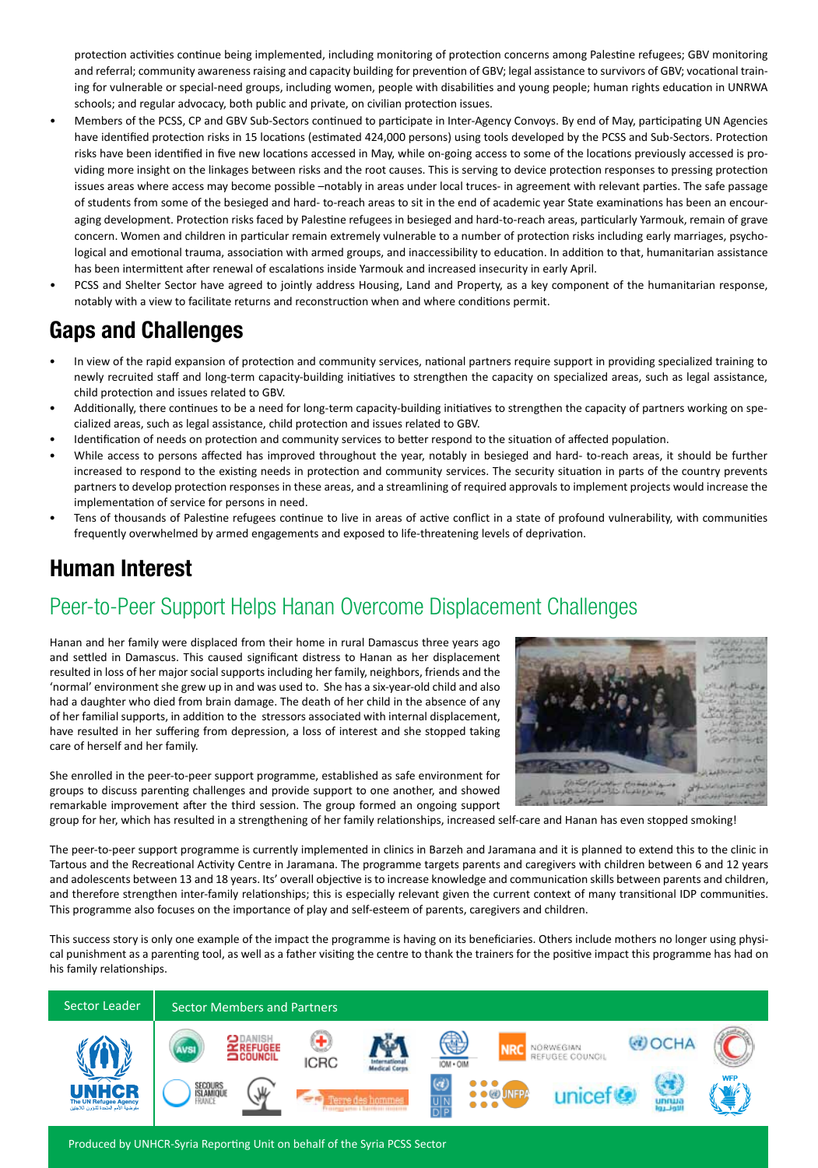protection activities continue being implemented, including monitoring of protection concerns among Palestine refugees; GBV monitoring ing for vulnerable or special-need groups, including women, people with disabilities and young people; human rights education in UNRWA and referral; community awareness raising and capacity building for prevention of GBV; legal assistance to survivors of GBV; vocational trainschools; and regular advocacy, both public and private, on civilian protection issues.

- Members of the PCSS, CP and GBV Sub-Sectors continued to participate in Inter-Agency Convoys. By end of May, participating UN Agencies have identified protection risks in 15 locations (estimated 424,000 persons) using tools developed by the PCSS and Sub-Sectors. Protection viding more insight on the linkages between risks and the root causes. This is serving to device protection responses to pressing protection risks have been identified in five new locations accessed in May, while on-going access to some of the locations previously accessed is proissues areas where access may become possible -notably in areas under local truces- in agreement with relevant parties. The safe passage aging development. Protection risks faced by Palestine refugees in besieged and hard-to-reach areas, particularly Yarmouk, remain of grave of students from some of the besieged and hard-to-reach areas to sit in the end of academic year State examinations has been an encourlogical and emotional trauma, association with armed groups, and inaccessibility to education. In addition to that, humanitarian assistance concern. Women and children in particular remain extremely vulnerable to a number of protection risks including early marriages, psychohas been intermittent after renewal of escalations inside Yarmouk and increased insecurity in early April.
- PCSS and Shelter Sector have agreed to jointly address Housing, Land and Property, as a key component of the humanitarian response, notably with a view to facilitate returns and reconstruction when and where conditions permit.

### Gaps and Challenges

- In view of the rapid expansion of protection and community services, national partners require support in providing specialized training to newly recruited staff and long-term capacity-building initiatives to strengthen the capacity on specialized areas, such as legal assistance, child protection and issues related to GBV.
- Additionally, there continues to be a need for long-term capacity-building initiatives to strengthen the capacity of partners working on spe-<br>cialized areas, such as legal assistance, child protection and issues related
- .pdentification of needs on protection and community services to better respond to the situation of affected population.
- While access to persons affected has improved throughout the year, notably in besieged and hard-to-reach areas, it should be further increased to respond to the existing needs in protection and community services. The security situation in parts of the country prevents partners to develop protection responses in these areas, and a streamlining of required approvals to implement projects would increase the implementation of service for persons in need.
- Tens of thousands of Palestine refugees continue to live in areas of active conflict in a state of profound vulnerability, with communities frequently overwhelmed by armed engagements and exposed to life-threatening levels of deprivation.

#### **Human Interest**

### Peer-to-Peer Support Helps Hanan Overcome Displacement Challenges

Hanan and her family were displaced from their home in rural Damascus three years ago and settled in Damascus. This caused significant distress to Hanan as her displacement resulted in loss of her major social supports including her family, neighbors, friends and the 'normal' environment she grew up in and was used to. She has a six-year-old child and also had a daughter who died from brain damage. The death of her child in the absence of any of her familial supports, in addition to the stressors associated with internal displacement, have resulted in her suffering from depression, a loss of interest and she stopped taking care of herself and her family.

She enrolled in the peer-to-peer support programme, established as safe environment for groups to discuss parenting challenges and provide support to one another, and showed remarkable improvement after the third session. The group formed an ongoing support



group for her, which has resulted in a strengthening of her family relationships, increased self-care and Hanan has even stopped smoking!

The peer-to-peer support programme is currently implemented in clinics in Barzeh and Jaramana and it is planned to extend this to the clinic in Tartous and the Recreational Activity Centre in Jaramana. The programme targets parents and caregivers with children between 6 and 12 years and adolescents between 13 and 18 years. Its' overall objective is to increase knowledge and communication skills between parents and children, and therefore strengthen inter-family relationships; this is especially relevant given the current context of many transitional IDP communities. This programme also focuses on the importance of play and self-esteem of parents, caregivers and children.

This success story is only one example of the impact the programme is having on its beneficiaries. Others include mothers no longer using physi-<br>cal punishment as a parenting tool, as well as a father visiting the centre t his family relationships.